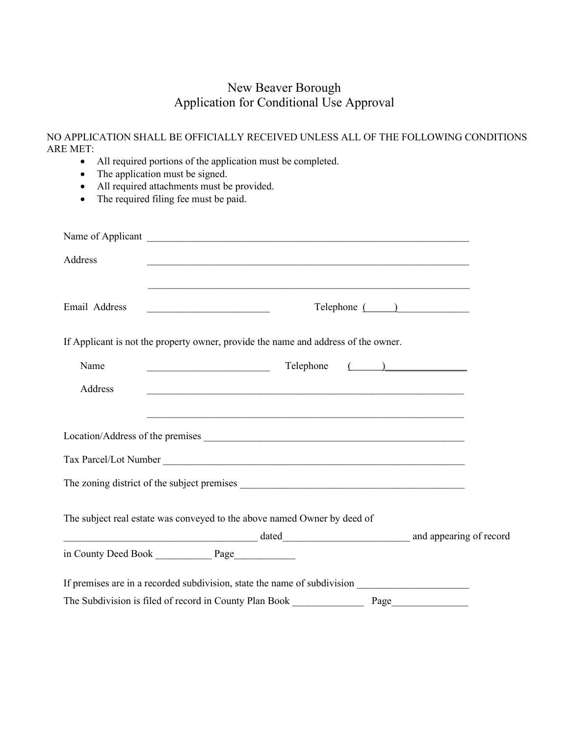### New Beaver Borough Application for Conditional Use Approval

|          |  | NO APPLICATION SHALL BE OFFICIALLY RECEIVED UNLESS ALL OF THE FOLLOWING CONDITIONS |
|----------|--|------------------------------------------------------------------------------------|
| ARE MET: |  |                                                                                    |

- All required portions of the application must be completed.
- The application must be signed.
- All required attachments must be provided.
- The required filing fee must be paid.

| Address       |                                                                                    |               |
|---------------|------------------------------------------------------------------------------------|---------------|
| Email Address |                                                                                    | Telephone ( ) |
|               | If Applicant is not the property owner, provide the name and address of the owner. |               |
| Name          | Telephone ( )                                                                      |               |
| Address       |                                                                                    |               |
|               |                                                                                    |               |
|               |                                                                                    |               |
|               |                                                                                    |               |
|               | The subject real estate was conveyed to the above named Owner by deed of           |               |
|               |                                                                                    |               |
|               |                                                                                    |               |
|               |                                                                                    |               |
|               | The Subdivision is filed of record in County Plan Book<br>Page                     |               |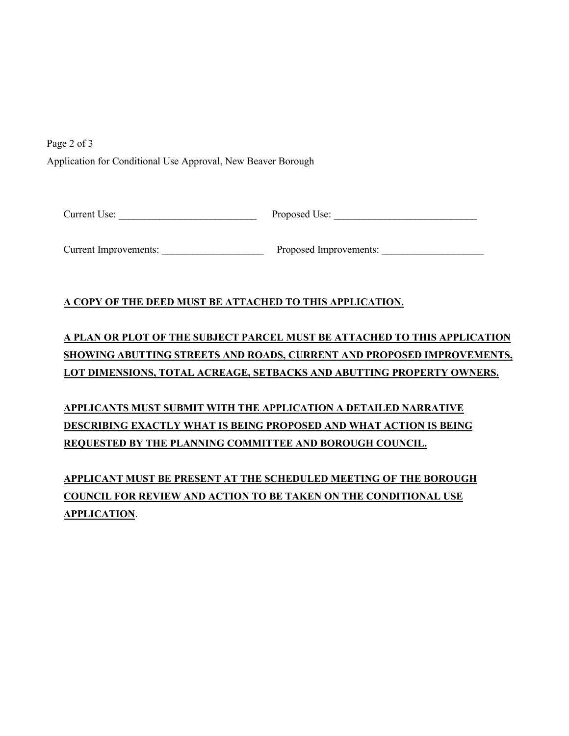Page 2 of 3 Application for Conditional Use Approval, New Beaver Borough

Current Use: <br>
Proposed Use: <br>
Proposed Use:

Current Improvements: \_\_\_\_\_\_\_\_\_\_\_\_\_\_\_\_\_\_\_\_ Proposed Improvements: \_\_\_\_\_\_\_\_\_\_\_\_\_\_\_\_\_\_\_\_

#### **A COPY OF THE DEED MUST BE ATTACHED TO THIS APPLICATION.**

# **A PLAN OR PLOT OF THE SUBJECT PARCEL MUST BE ATTACHED TO THIS APPLICATION SHOWING ABUTTING STREETS AND ROADS, CURRENT AND PROPOSED IMPROVEMENTS, LOT DIMENSIONS, TOTAL ACREAGE, SETBACKS AND ABUTTING PROPERTY OWNERS.**

**APPLICANTS MUST SUBMIT WITH THE APPLICATION A DETAILED NARRATIVE DESCRIBING EXACTLY WHAT IS BEING PROPOSED AND WHAT ACTION IS BEING REQUESTED BY THE PLANNING COMMITTEE AND BOROUGH COUNCIL.** 

**APPLICANT MUST BE PRESENT AT THE SCHEDULED MEETING OF THE BOROUGH COUNCIL FOR REVIEW AND ACTION TO BE TAKEN ON THE CONDITIONAL USE APPLICATION**.